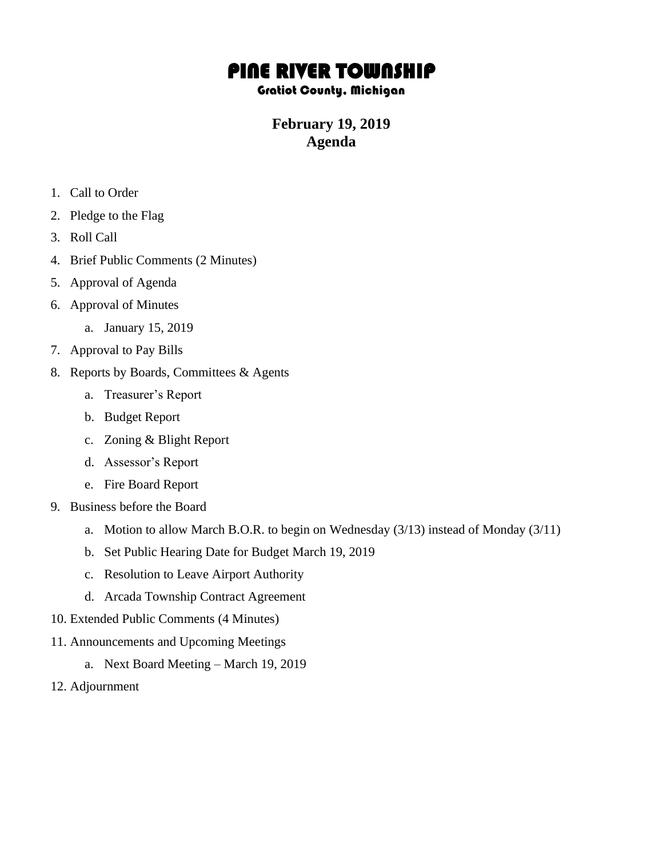## PINE RIVER TOWNSHIP

## Gratiot County, Michigan

## **February 19, 2019 Agenda**

- 1. Call to Order
- 2. Pledge to the Flag
- 3. Roll Call
- 4. Brief Public Comments (2 Minutes)
- 5. Approval of Agenda
- 6. Approval of Minutes
	- a. January 15, 2019
- 7. Approval to Pay Bills
- 8. Reports by Boards, Committees & Agents
	- a. Treasurer's Report
	- b. Budget Report
	- c. Zoning & Blight Report
	- d. Assessor's Report
	- e. Fire Board Report
- 9. Business before the Board
	- a. Motion to allow March B.O.R. to begin on Wednesday (3/13) instead of Monday (3/11)
	- b. Set Public Hearing Date for Budget March 19, 2019
	- c. Resolution to Leave Airport Authority
	- d. Arcada Township Contract Agreement
- 10. Extended Public Comments (4 Minutes)
- 11. Announcements and Upcoming Meetings
	- a. Next Board Meeting March 19, 2019
- 12. Adjournment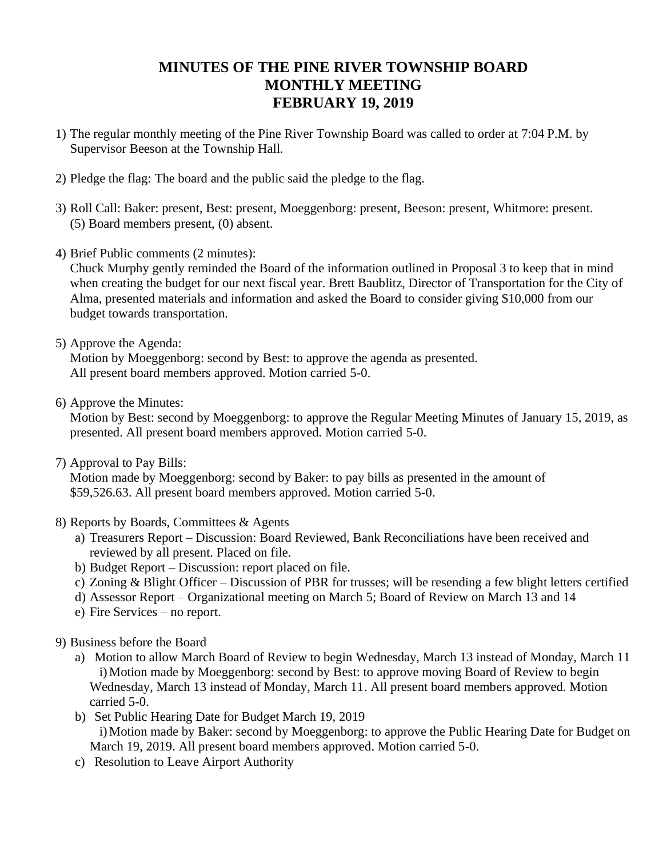## **MINUTES OF THE PINE RIVER TOWNSHIP BOARD MONTHLY MEETING FEBRUARY 19, 2019**

- 1) The regular monthly meeting of the Pine River Township Board was called to order at 7:04 P.M. by Supervisor Beeson at the Township Hall.
- 2) Pledge the flag: The board and the public said the pledge to the flag.
- 3) Roll Call: Baker: present, Best: present, Moeggenborg: present, Beeson: present, Whitmore: present. (5) Board members present, (0) absent.
- 4) Brief Public comments (2 minutes):

Chuck Murphy gently reminded the Board of the information outlined in Proposal 3 to keep that in mind when creating the budget for our next fiscal year. Brett Baublitz, Director of Transportation for the City of Alma, presented materials and information and asked the Board to consider giving \$10,000 from our budget towards transportation.

5) Approve the Agenda:

Motion by Moeggenborg: second by Best: to approve the agenda as presented. All present board members approved. Motion carried 5-0.

6) Approve the Minutes:

Motion by Best: second by Moeggenborg: to approve the Regular Meeting Minutes of January 15, 2019, as presented. All present board members approved. Motion carried 5-0.

7) Approval to Pay Bills:

Motion made by Moeggenborg: second by Baker: to pay bills as presented in the amount of \$59,526.63. All present board members approved. Motion carried 5-0.

- 8) Reports by Boards, Committees & Agents
	- a) Treasurers Report Discussion: Board Reviewed, Bank Reconciliations have been received and reviewed by all present. Placed on file.
	- b) Budget Report Discussion: report placed on file.
	- c) Zoning & Blight Officer Discussion of PBR for trusses; will be resending a few blight letters certified
	- d) Assessor Report Organizational meeting on March 5; Board of Review on March 13 and 14
	- e) Fire Services no report.
- 9) Business before the Board
	- a) Motion to allow March Board of Review to begin Wednesday, March 13 instead of Monday, March 11 i)Motion made by Moeggenborg: second by Best: to approve moving Board of Review to begin Wednesday, March 13 instead of Monday, March 11. All present board members approved. Motion carried 5-0.
	- b) Set Public Hearing Date for Budget March 19, 2019 i)Motion made by Baker: second by Moeggenborg: to approve the Public Hearing Date for Budget on March 19, 2019. All present board members approved. Motion carried 5-0.
	- c) Resolution to Leave Airport Authority